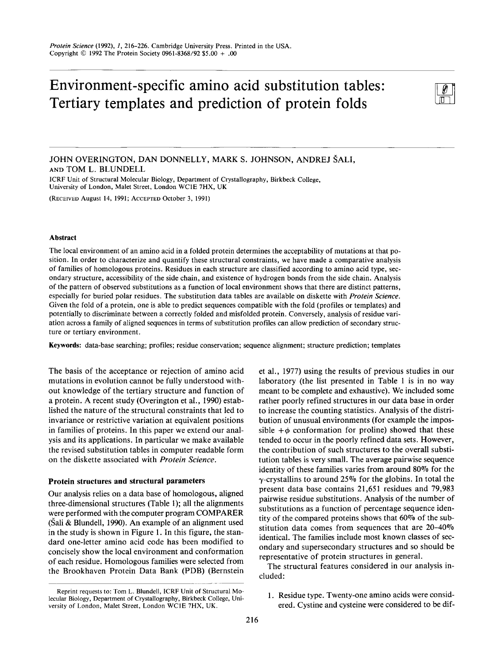# Environment-specific amino acid substitution tables: Tertiary templates and prediction of protein folds



JOHN OVERINGTON, DAN DONNELLY, MARK **S.** JOHNSON, ANDREJ SALI, **AND** TOM **L.** BLUNDELL

ICRF Unit of Structural Molecular Biology, Department of Crystallography, Birkbeck College, University of London, Malet Street, London WClE **7HX,** UK

(RECEIVED August **14,** 1991; ACCEPTED October 3, 1991)

## **Abstract**

The local environment of an amino acid in a folded protein determines the acceptability of mutations at that position. In order to characterize and quantify these structural constraints, we have made a comparative analysis of families of homologous proteins. Residues in each structure are classified according to amino acid type, secondary structure, accessibility of the side chain, and existence of hydrogen bonds from the side chain. Analysis of the pattern of observed substitutions as a function of local environment shows that there are distinct patterns, especially for buried polar residues. The substitution data tables are available on diskette with *Protein Science.*  Given the fold of a protein, one is able to predict sequences compatible with the fold (profiles or templates) and potentially to discriminate between a correctly folded and misfolded protein. Conversely, analysis of residue variation across a family of aligned sequences in terms of substitution profiles can allow prediction of secondary structure or tertiary environment.

**Keywords:** data-base searching; profiles; residue conservation; sequence alignment; structure prediction; templates

The basis of the acceptance or rejection of amino acid mutations in evolution cannot be fully understood without knowledge of the tertiary structure and function of a protein. A recent study (Overington et al., 1990) established the nature of the structural constraints that led to invariance or restrictive variation at equivalent positions in families of proteins. In this paper we extend our analysis and its applications. In particular we make available the revised substitution tables in computer readable form on the diskette associated with *Protein Science.* 

# **Protein structures and structural parameters**

Our analysis relies on a data base of homologous, aligned three-dimensional structures (Table 1); all the alignments were performed with the computer program COMPARER (Sali & Blundell, 1990). An example of an alignment used in the study is shown in Figure 1. In this figure, the standard one-letter amino acid code has been modified to concisely show the local environment and conformation of each residue. Homologous families were selected from the Brookhaven Protein Data Bank (PDB) (Bernstein -

et al., 1977) using the results of previous studies in our laboratory (the list presented in Table 1 is in no way meant to be complete and exhaustive). We included some rather poorly refined structures in our data base in order to increase the counting statistics. Analysis of the distribution of unusual environments (for example the impossible  $+\phi$  conformation for proline) showed that these tended to occur in the poorly refined data sets. However, the contribution of such structures to the overall substitution tables is very small. The average pairwise sequence identity of these families varies from around **80%** for the  $\gamma$ -crystallins to around 25% for the globins. In total the present data base contains 21,651 residues and 79,983 pairwise residue substitutions. Analysis of the number of substitutions as a function of percentage sequence identity of the compared proteins shows that **60%** of the substitution data comes from sequences that are 20-40% identical. The families include most known classes of secondary and supersecondary structures and so should be representative of protein structures in general.

The structural features considered in our analysis included:

1. Residue type. Twenty-one amino acids were considered. Cystine and cysteine were considered to be dif-

Reprint requests to: Tom L. Blundell, lCRF Unit of Structural Molecular Biology, Department of Crystallography, Birkbeck College, University of London, Malet Street, London WClE **7HX,** UK.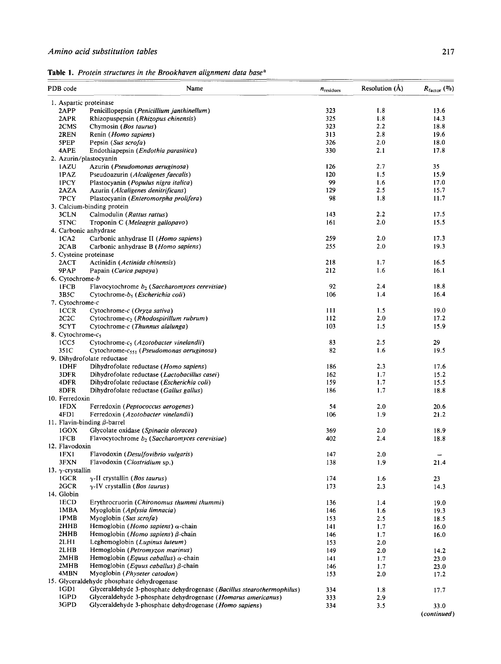| PDB code                 | Name                                                                       | $n_{residues}$ | Resolution (Å) | $R_{\text{factor}}$ (%) |
|--------------------------|----------------------------------------------------------------------------|----------------|----------------|-------------------------|
| 1. Aspartic proteinase   |                                                                            |                |                |                         |
| 2APP                     | Penicillopepsin (Penicillium janthinellum)                                 | 323            | 1.8            | 13.6                    |
| 2APR                     | Rhizopuspepsin (Rhizopus chinensis)                                        | 325            | 1.8            | 14.3                    |
| 2CMS                     | Chymosin (Bos taurus)                                                      | 323            | 2.2            | 18.8                    |
| 2REN                     | Renin (Homo sapiens)                                                       | 313            | 2.8            | 19.6                    |
| 5PEP                     | Pepsin (Sus scrofa)                                                        | 326            | 2.0            | 18.0                    |
| 4APE                     | Endothiapepsin (Endothia parasitica)                                       | 330            | 2.1            | 17.8                    |
|                          | 2. Azurin/plastocyanin                                                     |                |                |                         |
| 1AZU                     | Azurin (Pseudomonas aeruginosa)                                            | 126            | 2.7            | 35                      |
| 1PAZ                     | Pseudoazurin (Alcaligenes faecalis)                                        | 120            | 1.5            | 15.9                    |
| 1PCY                     | Plastocyanin (Populus nigra italica)                                       | 99             | 1.6            | 17.0                    |
| 2AZA                     | Azurin (Alcaligenes denitrificans)                                         | 129            | 2.5            | 15.7                    |
| 7PCY                     | Plastocyanin (Enteromorpha prolifera)                                      | 98             | 1.8            | 11.7                    |
|                          | 3. Calcium-binding protein                                                 |                |                |                         |
| 3CLN                     | Calmodulin (Rattus rattus)                                                 | 143            | 2.2            | 17.5                    |
| 5TNC                     | Troponin C (Meleagris gallopavo)                                           | 161            | 2.0            | 15.5                    |
| 4. Carbonic anhydrase    |                                                                            |                |                |                         |
| ICA2                     | Carbonic anhydrase II (Homo sapiens)                                       | 259            | 2.0            | 17.3                    |
| 2CAB                     | Carbonic anhydrase B (Homo sapiens)                                        | 255            | 2.0            | 19.3                    |
| 5. Cysteine proteinase   |                                                                            |                |                |                         |
| 2ACT                     | Actinidin (Actinida chinensis)                                             | 218            | 1.7            | 16.5                    |
| 9PAP                     | Papain (Carica papaya)                                                     | 212            | 1.6            | 16.1                    |
| 6. Cytochrome-b          |                                                                            |                |                |                         |
| 1FCB                     |                                                                            | 92             | 2.4            | 18.8                    |
|                          | Flavocytochrome $b_2$ (Saccharomyces cerevisiae)                           |                | 1.4            |                         |
| 3B5C                     | Cytochrome-b, (Escherichia coli)                                           | 106            |                | 16.4                    |
| 7. Cytochrome-c          |                                                                            |                |                |                         |
| <b>ICCR</b>              | Cytochrome-c (Oryza sativa)                                                | 111            | 1.5            | 19.0                    |
| 2C2C                     | Cytochrome- $c_2$ ( <i>Rhodospirillum rubrum</i> )                         | 112            | 2.0            | 17.2                    |
| 5CYT                     | Cytochrome-c (Thunnus alalunga)                                            | 103            | 1.5            | 15.9                    |
| 8. Cytochrome- $c_5$     |                                                                            |                |                |                         |
| 1CC <sub>5</sub>         | Cytochrome- $c_5$ (Azotobacter vinelandii)                                 | 83             | 2.5            | 29                      |
| 351C                     | Cytochrome- $c_{551}$ ( <i>Pseudomonas aeruginosa</i> )                    | 82             | 1.6            | 19.5                    |
|                          | 9. Dihydrofolate reductase                                                 |                |                |                         |
| 1DHF                     | Dihydrofolate reductase (Homo sapiens)                                     | 186            | 2.3            | 17.6                    |
| 3DFR                     | Dihydrofolate reductase (Lactobacillus casei)                              | 162            | 1,7            | 15.2                    |
| 4DFR                     | Dihydrofolate reductase (Escherichia coli)                                 | 159            | 1.7            | 15.5                    |
| 8DFR                     | Dihydrofolate reductase (Gallus gallus)                                    | 186            | 1.7            | 18.8                    |
| 10. Ferredoxin           |                                                                            |                |                |                         |
| 1FDX                     | Ferredoxin (Peptococcus aerogenes)                                         | 54             | 2.0            | 20.6                    |
| 4FD1                     | Ferredoxin (Azotobacter vinelandii)                                        | 106            | 1.9            | 21.2                    |
|                          | 11. Flavin-binding $\beta$ -barrel                                         |                |                |                         |
| $1$ GOX                  | Glycolate oxidase (Spinacia oleracea)                                      | 369            | 2.0            | 18.9                    |
| 1FCB                     | Flavocytochrome $b_2$ (Saccharomyces cerevisiae)                           | 402            | 2.4            | 18.8                    |
| 12. Flavodoxin           |                                                                            |                |                |                         |
| 1FX1                     | Flavodoxin (Desulfovibrio vulgaris)                                        | 147            | 2.0            | -                       |
| 3FXN                     | Flavodoxin (Clostridium sp.)                                               | 138            | 1.9            | 21.4                    |
| 13. $\gamma$ -crystallin |                                                                            |                |                |                         |
| 1GCR                     | $\gamma$ -II crystallin ( <i>Bos taurus</i> )                              | 174            | 1.6            | 23                      |
| 2GCR                     | $\gamma$ -IV crystallin (Bos taurus)                                       | 173            | 2.3            | 14.3                    |
| 14. Globin               |                                                                            |                |                |                         |
| 1ECD                     | Erythrocruorin (Chironomus thummi thummi)                                  | 136            | 1.4            | 19.0                    |
| 1MBA                     | Myoglobin (Aplysia limnacia)                                               | 146            | 1.6            | 19.3                    |
| 1PMB                     | Myoglobin (Sus scrofa)                                                     | 153            | 2.5            | 18.5                    |
| 2HHB                     | Hemoglobin ( <i>Homo sapiens</i> ) $\alpha$ -chain                         | 141            | 1.7            | 16.0                    |
| 2HHB                     | Hemoglobin ( <i>Homo sapiens</i> ) $\beta$ -chain                          | 146            | 1.7            |                         |
| 2LH1                     | Leghemoglobin (Lupinus luteum)                                             | 153            | 2.0            | 16.0                    |
| 2LHB                     | Hemoglobin (Petromyzon marinus)                                            |                |                |                         |
| 2MHB                     |                                                                            | 149            | 2.0            | 14.2                    |
|                          | Hemoglobin ( <i>Equus caballus</i> ) $\alpha$ -chain                       | 141            | 1.7            | 23.0                    |
| 2MHB<br>4MBN             | Hemoglobin ( <i>Equus caballus</i> ) $\beta$ -chain                        | 146            | 1.7            | 23.0                    |
|                          | Myoglobin (Physeter catodon)<br>15. Glyceraldehyde phosphate dehydrogenase | 153            | 2.0            | 17.2                    |
|                          |                                                                            |                |                |                         |
| 1GD1<br>1GPD             | Glyceraldehyde 3-phosphate dehydrogenase (Bacillus stearothermophilus)     | 334            | 1.8            | 17.7                    |
|                          | Glyceraldehyde 3-phosphate dehydrogenase (Homarus americanus)              | 333            | 2.9            |                         |
| 3GPD                     | Glyceraldehyde 3-phosphate dehydrogenase (Homo sapiens)                    | 334            | 3.5            | 33.0                    |
|                          |                                                                            |                |                | (continued)             |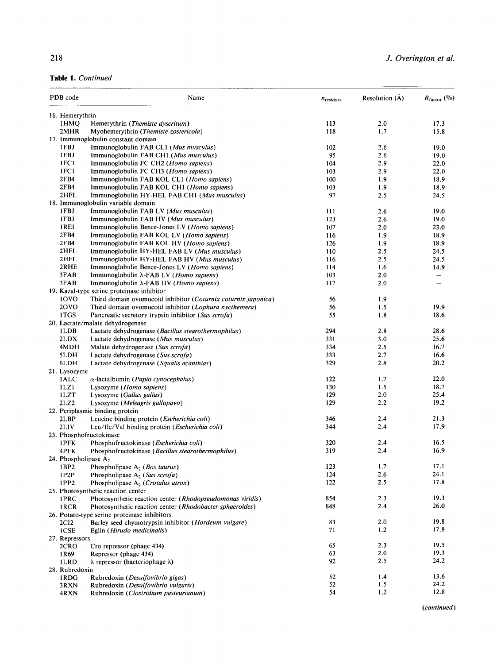|  | Table 1. Continued |
|--|--------------------|
|  |                    |

| 16. Hemerythrin<br>113<br>1HMQ<br>Hemerythrin (Themiste dyscritum)<br>2MHR<br>118<br>Myohemerythrin ( <i>Themiste zostericola</i> )<br>17. Immunoglobulin constant domain<br>1FBJ<br>Immunoglobulin FAB CL1 (Mus musculus)<br>102<br>1FBJ<br>95<br>Immunoglobulin FAB CH1 (Mus musculus)<br>1FC1<br>104<br>Immunoglobulin FC CH2 ( <i>Homo sapiens</i> )<br>1FC1<br>Immunoglobulin FC CH3 ( <i>Homo sapiens</i> )<br>103<br>2FB4<br>100<br>Immunoglobulin FAB KOL CL1 ( <i>Homo sapiens</i> )<br>2FB4 | 2.0<br>1.7<br>2.6<br>2.6<br>2.9<br>2.9<br>1.9<br>1.9<br>2.5 | 17.3<br>15.8<br>19.0<br>19.0<br>22.0<br>22.0<br>18.9<br>18.9<br>24.5 |
|-------------------------------------------------------------------------------------------------------------------------------------------------------------------------------------------------------------------------------------------------------------------------------------------------------------------------------------------------------------------------------------------------------------------------------------------------------------------------------------------------------|-------------------------------------------------------------|----------------------------------------------------------------------|
|                                                                                                                                                                                                                                                                                                                                                                                                                                                                                                       |                                                             |                                                                      |
|                                                                                                                                                                                                                                                                                                                                                                                                                                                                                                       |                                                             |                                                                      |
|                                                                                                                                                                                                                                                                                                                                                                                                                                                                                                       |                                                             |                                                                      |
|                                                                                                                                                                                                                                                                                                                                                                                                                                                                                                       |                                                             |                                                                      |
|                                                                                                                                                                                                                                                                                                                                                                                                                                                                                                       |                                                             |                                                                      |
|                                                                                                                                                                                                                                                                                                                                                                                                                                                                                                       |                                                             |                                                                      |
|                                                                                                                                                                                                                                                                                                                                                                                                                                                                                                       |                                                             |                                                                      |
|                                                                                                                                                                                                                                                                                                                                                                                                                                                                                                       |                                                             |                                                                      |
|                                                                                                                                                                                                                                                                                                                                                                                                                                                                                                       |                                                             |                                                                      |
| 103<br>Immunoglobulin FAB KOL CH1 ( <i>Homo sapiens</i> )                                                                                                                                                                                                                                                                                                                                                                                                                                             |                                                             |                                                                      |
| 2HFL<br>97<br>Immunoglobulin HY-HEL FAB CH1 (Mus musculus)                                                                                                                                                                                                                                                                                                                                                                                                                                            |                                                             |                                                                      |
| 18. Immunoglobulin variable domain                                                                                                                                                                                                                                                                                                                                                                                                                                                                    |                                                             |                                                                      |
| 1FBJ<br>Immunoglobulin FAB LV (Mus musculus)<br>111                                                                                                                                                                                                                                                                                                                                                                                                                                                   |                                                             | 19.0                                                                 |
| 1FBJ<br>123                                                                                                                                                                                                                                                                                                                                                                                                                                                                                           | 2.6                                                         | 19.0                                                                 |
| Immunoglobulin FAB HV (Mus musculus)                                                                                                                                                                                                                                                                                                                                                                                                                                                                  | 2.6                                                         |                                                                      |
| 1REI<br>107<br>Immunoglobulin Bence-Jones LV ( <i>Homo sapiens</i> )<br>2FB4                                                                                                                                                                                                                                                                                                                                                                                                                          | 2.0                                                         | 23.0                                                                 |
| Immunoglobulin FAB KOL LV (Homo sapiens)<br>116                                                                                                                                                                                                                                                                                                                                                                                                                                                       | 1.9                                                         | 18.9                                                                 |
| 2FB4<br>Immunoglobulin FAB KOL HV (Homo sapiens)<br>126                                                                                                                                                                                                                                                                                                                                                                                                                                               | 1.9                                                         | 18.9                                                                 |
| 2HFL<br>Immunoglobulin HY-HEL FAB LV (Mus musculus)<br>110                                                                                                                                                                                                                                                                                                                                                                                                                                            | 2.5                                                         | 24.5                                                                 |
| 2HFL<br>Immunoglobulin HY-HEL FAB HV (Mus musculus)<br>116                                                                                                                                                                                                                                                                                                                                                                                                                                            | 2.5                                                         | 24.5                                                                 |
| 2RHE<br>114<br>Immunoglobulin Bence-Jones LV (Homo sapiens)                                                                                                                                                                                                                                                                                                                                                                                                                                           | 1.6                                                         | 14.9                                                                 |
| 3FAB<br>103<br>Immunoglobulin $\lambda$ -FAB LV ( <i>Homo sapiens</i> )                                                                                                                                                                                                                                                                                                                                                                                                                               | 2.0                                                         |                                                                      |
| 3FAB<br>Immunoglobulin λ-FAB HV (Homo sapiens)<br>117                                                                                                                                                                                                                                                                                                                                                                                                                                                 | 2.0                                                         |                                                                      |
| 19. Kazal-type serine proteinase inhibitor                                                                                                                                                                                                                                                                                                                                                                                                                                                            |                                                             |                                                                      |
| 10VO<br>Third domain ovomucoid inhibitor (Coturnix coturnix japonica)<br>56                                                                                                                                                                                                                                                                                                                                                                                                                           | 1.9                                                         |                                                                      |
| 20VO<br>Third domain ovomucoid inhibitor (Lophura nycthemera)<br>56                                                                                                                                                                                                                                                                                                                                                                                                                                   | 1.5                                                         | 19.9                                                                 |
| 1TGS<br>Pancreatic secretory trypsin inhibitor (Sus scrofa)<br>55                                                                                                                                                                                                                                                                                                                                                                                                                                     | 1.8                                                         | 18.6                                                                 |
| 20. Lactate/malate dehydrogenase                                                                                                                                                                                                                                                                                                                                                                                                                                                                      |                                                             |                                                                      |
| 1LDB<br>294<br>Lactate dehydrogenase (Bacillus stearothermophilus)                                                                                                                                                                                                                                                                                                                                                                                                                                    | 2.8                                                         | 28.6                                                                 |
| 2LDX<br>331<br>Lactate dehydrogenase (Mus musculus)                                                                                                                                                                                                                                                                                                                                                                                                                                                   | 3.0                                                         | 25.6                                                                 |
| 4MDH<br>334<br>Malate dehydrogenase (Sus scrofa)                                                                                                                                                                                                                                                                                                                                                                                                                                                      | 2.5                                                         | 16.7                                                                 |
| 5LDH<br>333<br>Lactate dehydrogenase (Sus scrofa)                                                                                                                                                                                                                                                                                                                                                                                                                                                     | 2.7                                                         | 16.6                                                                 |
| 6LDH<br>329<br>Lactate dehydrogenase (Squalis acanthias)                                                                                                                                                                                                                                                                                                                                                                                                                                              | 2.8                                                         | 20.2                                                                 |
| 21. Lysozyme                                                                                                                                                                                                                                                                                                                                                                                                                                                                                          |                                                             |                                                                      |
| $\alpha$ -lactalbumin (Papio cynocephalus)<br>122<br>1ALC                                                                                                                                                                                                                                                                                                                                                                                                                                             | 1.7                                                         | 22.0                                                                 |
| 1LZ1<br>130<br>Lysozyme (Homo sapiens)                                                                                                                                                                                                                                                                                                                                                                                                                                                                | 1.5                                                         | 18.7                                                                 |
| 1LZT<br>129<br>Lysozyme (Gallus gallus)                                                                                                                                                                                                                                                                                                                                                                                                                                                               | 2.0                                                         | 25.4                                                                 |
| 2LZ2<br>129<br>Lysozyme (Meleagris gallopavo)                                                                                                                                                                                                                                                                                                                                                                                                                                                         | 2.2                                                         | 19.2                                                                 |
| 22. Periplasmic binding protein                                                                                                                                                                                                                                                                                                                                                                                                                                                                       |                                                             |                                                                      |
| 2LBP<br>346<br>Leucine binding protein (Escherichia coli)                                                                                                                                                                                                                                                                                                                                                                                                                                             | 2.4                                                         | 21.3                                                                 |
| 344<br>2LIV<br>Leu/Ile/Val binding protein (Escherichia coli)                                                                                                                                                                                                                                                                                                                                                                                                                                         | 2.4                                                         | 17.9                                                                 |
| 23. Phosphofructokinase                                                                                                                                                                                                                                                                                                                                                                                                                                                                               |                                                             |                                                                      |
|                                                                                                                                                                                                                                                                                                                                                                                                                                                                                                       |                                                             | 16.5                                                                 |
| 1PFK<br>Phosphofructokinase ( <i>Escherichia coli</i> )<br>320<br>319                                                                                                                                                                                                                                                                                                                                                                                                                                 | 2.4<br>2.4                                                  | 16.9                                                                 |
| 4PFK<br>Phosphofructokinase (Bacillus stearothermophilus)                                                                                                                                                                                                                                                                                                                                                                                                                                             |                                                             |                                                                      |
| 24. Phospholipase $A_2$                                                                                                                                                                                                                                                                                                                                                                                                                                                                               | 1.7                                                         | 17.1                                                                 |
| 123<br>Phospholipase $A_2$ ( <i>Bos taurus</i> )<br>1BP2                                                                                                                                                                                                                                                                                                                                                                                                                                              |                                                             |                                                                      |
| 124<br>1P2P<br>Phospholipase $A_2$ (Sus scrofa)                                                                                                                                                                                                                                                                                                                                                                                                                                                       | 2.6                                                         | 24.1                                                                 |
| 1PP2<br>122<br>Phospholipase $A_2$ ( <i>Crotalus atrox</i> )                                                                                                                                                                                                                                                                                                                                                                                                                                          | 2.5                                                         | 17.8                                                                 |
| 25. Photosynthetic reaction center                                                                                                                                                                                                                                                                                                                                                                                                                                                                    |                                                             |                                                                      |
| 854<br>Photosynthetic reaction center (Rhodopseudomonas viridis)<br>1PRC                                                                                                                                                                                                                                                                                                                                                                                                                              | 2.3                                                         | 19.3                                                                 |
| 848<br>1RCR<br>Photosynthetic reaction center (Rhodobacter sphaeroides)                                                                                                                                                                                                                                                                                                                                                                                                                               | 2.4                                                         | 26.0                                                                 |
| 26. Potato-type serine proteinase inhibitors                                                                                                                                                                                                                                                                                                                                                                                                                                                          |                                                             |                                                                      |
| 83<br>2 <sub>C12</sub><br>Barley seed chymotrypsin inhibitor (Hordeum vulgare)                                                                                                                                                                                                                                                                                                                                                                                                                        | 2.0                                                         | 19.8                                                                 |
| 1CSE<br>71<br>Eglin (Hirudo medicinalis)                                                                                                                                                                                                                                                                                                                                                                                                                                                              | 1.2                                                         | 17.8                                                                 |
| 27. Repressors                                                                                                                                                                                                                                                                                                                                                                                                                                                                                        |                                                             |                                                                      |
| 65<br>Cro repressor (phage 434)<br>2CRO                                                                                                                                                                                                                                                                                                                                                                                                                                                               | 2.3                                                         | 19.5                                                                 |
| 63<br>1R69<br>Repressor (phage 434)                                                                                                                                                                                                                                                                                                                                                                                                                                                                   | 2.0                                                         | 19.3                                                                 |
| 92<br>1LRD<br>$\lambda$ repressor (bacteriophage $\lambda$ )                                                                                                                                                                                                                                                                                                                                                                                                                                          | 2.5                                                         | 24.2                                                                 |
| 28. Rubredoxin                                                                                                                                                                                                                                                                                                                                                                                                                                                                                        |                                                             |                                                                      |
| 52<br>1RDG<br>Rubredoxin (Desulfovibrio gigas)                                                                                                                                                                                                                                                                                                                                                                                                                                                        | 1.4                                                         | 13.6                                                                 |
| 52<br>3RXN<br>Rubredoxin (Desulfovibrio vulgaris)                                                                                                                                                                                                                                                                                                                                                                                                                                                     | 1.5                                                         | 24.2                                                                 |
| 54<br>Rubredoxin (Clostridium pasteurianum)<br>4RXN                                                                                                                                                                                                                                                                                                                                                                                                                                                   | 1.2                                                         | 12.8                                                                 |

*(continued)*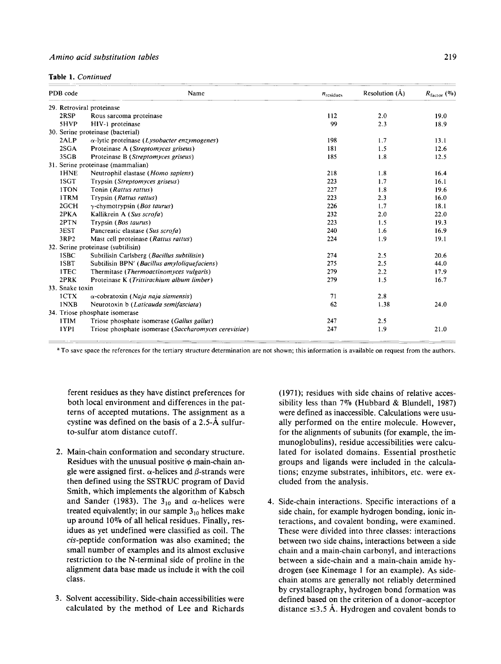**Table 1.** *Continued* 

| PDB code        | Name                                                         | $n_{residues}$ | Resolution (Å) | $R_{\text{factor}}$ (%) |
|-----------------|--------------------------------------------------------------|----------------|----------------|-------------------------|
|                 | 29. Retroviral proteinase                                    |                |                |                         |
| 2RSP            | Rous sarcoma proteinase                                      | 112            | 2.0            | 19.0                    |
| 5HVP            | HIV-1 proteinase                                             | 99             | 2.3            | 18.9                    |
|                 | 30. Serine proteinase (bacterial)                            |                |                |                         |
| 2ALP            | $\alpha$ -lytic proteinase ( <i>Lysobacter enzymogenes</i> ) | 198            | 1.7            | 13.1                    |
| 2SGA            | Proteinase A (Streptomyces griseus)                          | 181            | 1.5            | 12.6                    |
| 3SGB            | Proteinase B (Streptomyces griseus)                          | 185            | 1.8            | 12.5                    |
|                 | 31. Serine proteinase (mammalian)                            |                |                |                         |
| 1HNE            | Neutrophil elastase (Homo sapiens)                           | 218            | 1.8            | 16.4                    |
| 1SGT            | Trypsin (Streptomyces griseus)                               | 223            | 1.7            | 16.1                    |
| 1TON            | Tonin (Rattus rattus)                                        | 227            | 1.8            | 19.6                    |
| 1TRM            | Trypsin (Rattus rattus)                                      | 223            | 2.3            | 16.0                    |
| 2GCH            | $\gamma$ -chymotrypsin ( <i>Bos taurus</i> )                 | 226            | 1.7            | 18.1                    |
| 2PKA            | Kallikrein A (Sus scrofa)                                    | 232            | 2.0            | 22.0                    |
| 2PTN            | Trypsin ( <i>Bos taurus</i> )                                | 223            | 1.5            | 19.3                    |
| 3EST            | Pancreatic elastase (Sus scrofa)                             | 240            | 1.6            | 16.9                    |
| 3RP2            | Mast cell proteinase (Rattus rattus)                         | 224            | 1.9            | 19.1                    |
|                 | 32. Serine proteinase (subtilisin)                           |                |                |                         |
| 1SBC            | Subtilisin Carlsberg (Bacillus subtilisin)                   | 274            | 2.5            | 20.6                    |
| 1SBT            | Subtilisin BPN' (Bacillus amyloliquefaciens)                 | 275            | 2.5            | 44.0                    |
| 1TEC            | Thermitase (Thermoactinomyces vulgaris)                      | 279            | 2.2            | 17.9                    |
| 2PRK            | Proteinase K (Trittirachium album limber)                    | 279            | 1.5            | 16.7                    |
| 33. Snake toxin |                                                              |                |                |                         |
| 1CTX            | $\alpha$ -cobratoxin (Naja naja siamensis)                   | 71             | 2.8            |                         |
| 1NXB            | Neurotoxin b (Laticauda semifasciata)                        | 62             | 1.38           | 24.0                    |
|                 | 34. Triose phosphate isomerase                               |                |                |                         |
| 1TIM            | Triose phosphate isomerase (Gallus gallus)                   | 247            | 2.5            |                         |
| 1YPI            | Triose phosphate isomerase (Saccharomyces cerevisiae)        | 247            | 1.9            | 21.0                    |

**<sup>a</sup>**To save space the references for the tertiary structure determination are not shown; this information is available on request from the authors.

ferent residues as they have distinct preferences for both local environment and differences in the patterns of accepted mutations. The assignment as a cystine was defined on the basis of a **2.5-A** sulfurto-sulfur atom distance cutoff.

- **2.** Main-chain conformation and secondary structure. Residues with the unusual positive  $\phi$  main-chain angle were assigned first.  $\alpha$ -helices and  $\beta$ -strands were then defined using the SSTRUC program of David Smith, which implements the algorithm of Kabsch and Sander (1983). The  $3_{10}$  and  $\alpha$ -helices were treated equivalently; in our sample  $3_{10}$  helices make up around **10%** of all helical residues. Finally, residues as yet undefined were classified as coil. The cis-peptide conformation was also examined; the small number of examples and its almost exclusive restriction to the N-terminal side of proline in the alignment data base made us include it with the coil class.
- **3.** Solvent accessibility. Side-chain accessibilities were

**(1971);** residues with side chains of relative accessibility less than **7%** (Hubbard & Blundell, **1987)**  were defined as inaccessible. Calculations were usually performed on the entire molecule. However, for the alignments of subunits (for example, the immunoglobulins), residue accessibilities were calculated for isolated domains. Essential prosthetic groups and ligands were included in the calculations; enzyme substrates, inhibitors, etc. were excluded from the analysis.

calculated by the method of Lee and Richards distance  $\leq 3.5$  Å. Hydrogen and covalent bonds to 4. Side-chain interactions. Specific interactions of a side chain, for example hydrogen bonding, ionic interactions, and covalent bonding, were examined. These were divided into three classes: interactions between two side chains, interactions between a side chain and a main-chain carbonyl, and interactions between a side-chain and a main-chain amide hydrogen (see Kinemage **1** for an example). **As** sidechain atoms are generally not reliably determined by crystallography, hydrogen bond formation was defined based on the criterion of a donor-acceptor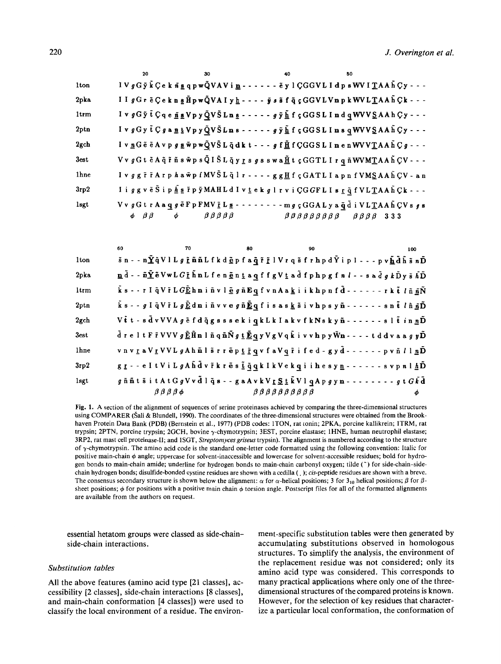|                  | 20              | 30                                     | 40 | 50                                                                                                                                                                                                                                               |
|------------------|-----------------|----------------------------------------|----|--------------------------------------------------------------------------------------------------------------------------------------------------------------------------------------------------------------------------------------------------|
| 1 <sub>ton</sub> |                 |                                        |    |                                                                                                                                                                                                                                                  |
| 2pka             |                 |                                        |    | II gGr ěÇe k n g H̃ p w Q̃ VA I y h - - - - j s s̃ f q̃ ç GG V L V n p k W V L T A A h ͡ Ç k - - -                                                                                                                                               |
| 1 <sub>trm</sub> |                 |                                        |    | I v $gG\tilde{y}$ t $C q e \tilde{\underline{n}} q$ v $D y Q V \tilde{S}$ L n g - - - - - $g \tilde{y} \tilde{L} f$ $f$ $GGS$ L I n d q WVV $S$ A A h $Cy$ - - -                                                                                 |
| 2ptn             |                 |                                        |    | $I \vee g G y \tilde{t} C g a \underline{n} t V p y Q V \tilde{S} L n s - - - - g \tilde{y} \underline{\tilde{h}} f \varsigma G G S L I n s q W V V \underline{S} A A \tilde{h} C y - - -$                                                       |
| 2gch             |                 |                                        |    | I v nG $\tilde{e}$ $\tilde{e}$ A v p $g$ g $\tilde{w}$ p $\tilde{w}$ $\tilde{Q}$ V $\tilde{S}$ L $\tilde{q}$ d k t $\cdot$ $\cdot$ - $g$ f $\underline{\tilde{\mu}}$ f $CGGS$ L I n e n WV V $\underline{T}$ A A $\tilde{h}$ $C$ $g$ - $\cdot$ - |
| 3est             |                 |                                        |    | Vv gGt ě A q̃ ř ñ s w̃p s Q̃ l Š L q̃ y r s g s s w a H̃ t ç GGT L I r q ñ WVMTA A h ͡ ÇV - - -                                                                                                                                                  |
| 1 <sub>hne</sub> |                 |                                        |    | I v g g r̃ r̃ A r p h a w̃ p f MV Š L q̃ l r - - - - g g <u>H</u> f ç G A T L I a p n f V M <u>S</u> A A h ̂ Ç V - a n                                                                                                                           |
| 3rp2             |                 |                                        |    | I i ggv ë Š i p <u>Á s</u> ř p ỹ MAH L d I v <u>t</u> e k g l r v i Ç G G F L I s <u>r</u> q̃ f V L T A A h C k - - -                                                                                                                            |
| <b>lsgt</b>      |                 |                                        |    | VvgGtrAaqgeFpFMV $\underline{\tilde{r}}$ Lg-------mgçGGALyaq̃dıVLTAAh ÇVsgs                                                                                                                                                                      |
|                  | $\beta$ $\beta$ | $\phi$ $\beta \beta \beta \beta \beta$ |    | $\beta \beta \beta \beta \beta \beta \beta \beta \beta$ $\beta$ $\beta \beta \beta$ 333                                                                                                                                                          |

|                  | 60                             | 70 | 80                                                                      | 90                                                                                                                                                                                                                                                                                                                                                                            | 100 |
|------------------|--------------------------------|----|-------------------------------------------------------------------------|-------------------------------------------------------------------------------------------------------------------------------------------------------------------------------------------------------------------------------------------------------------------------------------------------------------------------------------------------------------------------------|-----|
| 1 <sub>ton</sub> |                                |    |                                                                         | $\tilde{\mathbf{s}}$ n - - n $\tilde{\mathbf{\Sigma}}$ q̃Vl L $g$ $\tilde{\mathbf{r}}$ n $\tilde{\mathbf{n}}$ L f k d $\underline{\tilde{\mathbf{e}}}$ p f a $\underline{\tilde{\mathbf{q}}}$ $\tilde{\mathbf{r}}$ $\tilde{\mathbf{r}}$ l $V$ r q $\tilde{\mathbf{s}}$ f r h p d $\tilde{\mathbf{Y}}$ i p l - - - p v $\underline{\tilde{\mathbf{h}}}$ d $\tilde{\mathbf{h}}$ |     |
| 2pka             |                                |    |                                                                         | $\underline{\mathbf{n}}$ d̃ - - $\tilde{\mathbf{n}}\tilde{\mathbf{\underline{Y}}}$ ē VwL $G$ ž h̃nL f e n ēntaq f f g V t a d̃ f p h p g f n $l$ - - s a d̄ $g$ k D̃ y s̃ $\tilde{h}$ D̄                                                                                                                                                                                      |     |
| 1 <sub>trm</sub> |                                |    |                                                                         | ks - - r I q̃V ř L $G$ <u> E</u> hniñ v l <u>ě</u> g ň Eq f v n A a k i i k h p n f d̃ - - - - - - r k t̃ <i>l</i> ň <u>ñ</u> Ñ                                                                                                                                                                                                                                               |     |
| 2ptn             |                                |    |                                                                         | ks - - g I q V ř L g Č d n i ň v v e g ñ Č q f i s a s k š i v h p s y ñ - - - - - - - s n t <i>l</i> ň <u>ñ</u> Ď                                                                                                                                                                                                                                                            |     |
| 2gch             |                                |    |                                                                         | V tt-sdvVVA g efd qgsssekiqkLk I akvfkNskyn------- sl tin n D                                                                                                                                                                                                                                                                                                                 |     |
| 3est             |                                |    |                                                                         | $\tilde{\mathbf{d}}$ reltF $\tilde{\mathbf{r}}$ VVV $g \tilde{\mathbf{E}}$ H̃n lñ qñ $\tilde{\mathbf{N}} g$ t $\tilde{\mathbf{E}}$ q y V g V q k̊ i v v h p y W̆n - - - - t d d v a a $g$ $y$ D̃                                                                                                                                                                              |     |
| 1 <sub>hne</sub> |                                |    |                                                                         | vnvra VrVVL g A h n l s r r e p t r q v f a V q r i f e d - g y d - - - - - - p v n l l n D                                                                                                                                                                                                                                                                                   |     |
| 3rp2             |                                |    |                                                                         | gr - - e I t V i L g A h d v ř k r ě s č q q k I k V e k q i i h e s y n - - - - - - - s v p n l h D                                                                                                                                                                                                                                                                          |     |
| 1sgt             |                                |    |                                                                         | $g$ ññt $\tilde{\mathbf{s}}$ i t A t G $g$ V v $\tilde{\mathbf{d}}$ l $\tilde{\mathbf{q}}$ $\mathbf{s}$ - - $g$ a A v k V <u>r S t</u> $\tilde{\mathbf{k}}$ V l $\mathbf{q}$ A p $g$ y $\mathbf{n}$ - - - - - - - - - $g$ t $G$ $\tilde{\mathbf{k}}$ $\tilde{\mathbf{d}}$                                                                                                     |     |
|                  | $\beta$ $\beta$ $\beta$ $\phi$ |    | $\beta$ $\beta$ $\beta$ $\beta$ $\beta$ $\beta$ $\beta$ $\beta$ $\beta$ |                                                                                                                                                                                                                                                                                                                                                                               |     |

Fig. 1. A section of the alignment of sequences of serine proteinases achieved by comparing the three-dimensional structures using COMPARER (Šali & Blundell, 1990). The coordinates of the three-dimensional structures were obtained from the Brookhaven Protein Data Bank (PDB) (Bernstein et al., 1977) (PDB codes: 1TON, rat tonin; 2PKA, porcine kallikrein; 1TRM, rat trypsin; 2PTN, porcine trypsin; 2GCH, bovine  $\gamma$ -chymotrypsin; 3EST, porcine elastase; 1HNE, human neutrophil elastase; 3RP2, rat mast cell proteinase-II; and 1SGT, Streptomyces griseus trypsin). The alignment is numbered according to the structure of  $\gamma$ -chymotrypsin. The amino acid code is the standard one-letter code formatted using the following convention: Italic for positive main-chain  $\phi$  angle; uppercase for solvent-inaccessible and lowercase for solvent-accessible residues; bold for hydrogen bonds to main-chain amide; underline for hydrogen bonds to main-chain carbonyl oxygen; tilde (~) for side-chain-sidechain hydrogen bonds; disulfide-bonded cystine residues are shown with a cedilla (); cis-peptide residues are shown with a breve. The consensus secondary structure is shown below the alignment:  $\alpha$  for  $\alpha$ -helical positions; 3 for 3<sub>10</sub> helical positions;  $\beta$  for  $\beta$ sheet positions;  $\phi$  for positions with a positive main chain  $\phi$  torsion angle. Postscript files for all of the formatted alignments are available from the authors on request.

essential hetatom groups were classed as side-chainside-chain interactions.

# Substitution tables

All the above features (amino acid type [21 classes], accessibility [2 classes], side-chain interactions [8 classes], and main-chain conformation [4 classes]) were used to classify the local environment of a residue. The environment-specific substitution tables were then generated by accumulating substitutions observed in homologous structures. To simplify the analysis, the environment of the replacement residue was not considered; only its amino acid type was considered. This corresponds to many practical applications where only one of the threedimensional structures of the compared proteins is known. However, for the selection of key residues that characterize a particular local conformation, the conformation of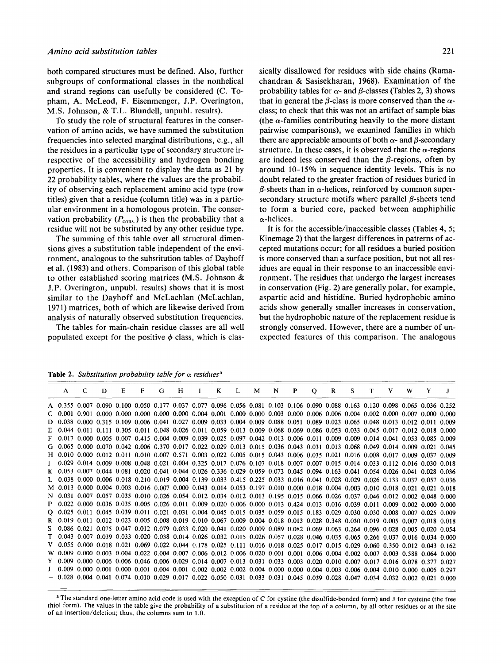both compared structures must be defined. Also, further subgroups of conformational classes in the nonhelical and strand regions can usefully be considered *(C.* Topham, A. McLeod, F. Eisenmenger, J.P. Overington, M.S. Johnson, & T.L. Blundell, unpubl. results).

To study the role of structural features in the conservation of amino acids, we have summed the substitution frequencies into selected marginal distributions, e.g., all the residues in a particular type of secondary structure irrespective of the accessibility and hydrogen bonding properties. It is convenient to display the data as **21** by **22** probability tables, where the values are the probability of observing each replacement amino acid type (row titles) given that a residue (column title) was in a particular environment in a homologous protein. The conservation probability  $(P_{\text{cons.}})$  is then the probability that a residue will not be substituted by any other residue type.

The summing of this table over all structural dimensions gives a substitution table independent of the environment, analogous to the substitution tables of Dayhoff et al. **(1983)** and others. Comparison of this global table to other established scoring matrices **(M.S.** Johnson & J.P. Overington, unpubl. results) shows that it is most similar to the Dayhoff and McLachlan (McLachlan, **1971)** matrices, both of which are likewise derived from analysis of naturally observed substitution frequencies.

The tables for main-chain residue classes are all well populated except for the positive  $\phi$  class, which is clas-The tables of naturally<br>The tables for<br>populated excep<br>Table 2. Substitute<br>A C E

sically disallowed for residues with side chains (Ramachandran & Sasisekharan, **1968).** Examination of the probability tables for  $\alpha$ - and  $\beta$ -classes (Tables 2, 3) shows that in general the  $\beta$ -class is more conserved than the  $\alpha$ class; to check that this was not an artifact of sample bias (the  $\alpha$ -families contributing heavily to the more distant pairwise comparisons), we examined families in which there are appreciable amounts of both  $\alpha$ - and  $\beta$ -secondary structure. In these cases, it is observed that the  $\alpha$ -regions are indeed less conserved than the  $\beta$ -regions, often by around **10-15%** in sequence identity levels. This is no doubt related to the greater fraction of residues buried in  $\beta$ -sheets than in  $\alpha$ -helices, reinforced by common supersecondary structure motifs where parallel  $\beta$ -sheets tend to form a buried core, packed between amphiphilic  $\alpha$ -helices.

It is for the accessible/inaccessible classes (Tables **4, 5;**  Kinemage **2)** that the largest differences in patterns of accepted mutations occur; for all residues a buried position is more conserved than a surface position, but not all residues are equal in their response to an inaccessible environment. The residues that undergo the largest increases in conservation (Fig. **2)** are generally polar, for example, aspartic acid and histidine. Buried hydrophobic amino acids show generally smaller increases in conservation, but the hydrophobic nature of the replacement residue is strongly conserved. However, there are a number of unexpected features of this comparison. The analogous

**Table 2.** *Substitution probability table for*  $\alpha$  *residues<sup>a</sup>* 

|  | D | $E =$ | $F =$ | G. | H I K L M N P O |                                                                                                                                   |  |                                                                                                                                     |  |  | R S T V W Y |  |
|--|---|-------|-------|----|-----------------|-----------------------------------------------------------------------------------------------------------------------------------|--|-------------------------------------------------------------------------------------------------------------------------------------|--|--|-------------|--|
|  |   |       |       |    |                 |                                                                                                                                   |  | A 0.355 0.007 0.090 0.100 0.050 0.177 0.037 0.077 0.096 0.056 0.081 0.103 0.106 0.090 0.088 0.163 0.120 0.098 0.065 0.036 0.252     |  |  |             |  |
|  |   |       |       |    |                 |                                                                                                                                   |  | $C$ 0.001 0.901 0.000 0.000 0.000 0.000 0.000 0.004 0.001 0.000 0.000 0.003 0.000 0.006 0.006 0.004 0.002 0.000 0.007 0.000 0.000   |  |  |             |  |
|  |   |       |       |    |                 |                                                                                                                                   |  | D 0.038 0.000 0.315 0.109 0.006 0.041 0.027 0.009 0.033 0.004 0.009 0.088 0.051 0.089 0.023 0.065 0.048 0.013 0.012 0.011 0.009     |  |  |             |  |
|  |   |       |       |    |                 |                                                                                                                                   |  | E 0.044 0.011 0.111 0.305 0.011 0.048 0.026 0.011 0.059 0.013 0.009 0.068 0.069 0.086 0.053 0.033 0.045 0.017 0.012 0.018 0.000     |  |  |             |  |
|  |   |       |       |    |                 |                                                                                                                                   |  | F 0.017 0.000 0.005 0.007 0.415 0.004 0.009 0.039 0.025 0.097 0.042 0.013 0.006 0.011 0.009 0.009 0.014 0.041 0.053 0.085 0.009     |  |  |             |  |
|  |   |       |       |    |                 |                                                                                                                                   |  | G 0.065 0.000 0.070 0.042 0.006 0.370 0.017 0.022 0.029 0.013 0.015 0.036 0.043 0.031 0.013 0.068 0.049 0.014 0.009 0.021 0.045     |  |  |             |  |
|  |   |       |       |    |                 |                                                                                                                                   |  | H 0.010 0.000 0.012 0.011 0.010 0.007 0.571 0.003 0.022 0.005 0.015 0.043 0.006 0.035 0.021 0.016 0.008 0.017 0.009 0.037 0.009     |  |  |             |  |
|  |   |       |       |    |                 |                                                                                                                                   |  | $1$ 0.029 0.014 0.009 0.008 0.048 0.021 0.004 0.325 0.017 0.076 0.107 0.018 0.007 0.007 0.015 0.014 0.033 0.112 0.016 0.030 0.018   |  |  |             |  |
|  |   |       |       |    |                 |                                                                                                                                   |  | K 0.053 0.007 0.044 0.081 0.020 0.041 0.044 0.026 0.336 0.029 0.059 0.073 0.045 0.094 0.163 0.041 0.054 0.026 0.041 0.028 0.036     |  |  |             |  |
|  |   |       |       |    |                 |                                                                                                                                   |  | L 0.038 0.000 0.006 0.018 0.210 0.019 0.004 0.139 0.033 0.415 0.225 0.033 0.016 0.041 0.028 0.029 0.026 0.133 0.037 0.037 0.036     |  |  |             |  |
|  |   |       |       |    |                 |                                                                                                                                   |  | M 0.013 0.000 0.004 0.003 0.016 0.007 0.000 0.043 0.014 0.053 0.197 0.010 0.000 0.018 0.004 0.003 0.010 0.018 0.021 0.021 0.018     |  |  |             |  |
|  |   |       |       |    |                 |                                                                                                                                   |  | N 0.031 0.007 0.057 0.035 0.010 0.026 0.054 0.012 0.034 0.012 0.013 0.195 0.015 0.066 0.026 0.037 0.046 0.012 0.002 0.048 0.000     |  |  |             |  |
|  |   |       |       |    |                 |                                                                                                                                   |  | P 0.022 0.000 0.036 0.035 0.005 0.026 0.011 0.009 0.020 0.006 0.000 0.013 0.424 0.013 0.016 0.039 0.011 0.009 0.002 0.000 0.000     |  |  |             |  |
|  |   |       |       |    |                 |                                                                                                                                   |  | 0.025 0.011 0.045 0.039 0.011 0.021 0.031 0.004 0.045 0.015 0.035 0.059 0.015 0.183 0.029 0.030 0.030 0.008 0.007 0.025 0.009       |  |  |             |  |
|  |   |       |       |    |                 |                                                                                                                                   |  | R 0.019 0.011 0.012 0.023 0.005 0.008 0.019 0.010 0.067 0.009 0.004 0.018 0.013 0.028 0.348 0.030 0.019 0.005 0.007 0.018 0.018     |  |  |             |  |
|  |   |       |       |    |                 |                                                                                                                                   |  | 5 0.086 0.021 0.075 0.047 0.012 0.079 0.033 0.020 0.041 0.020 0.009 0.089 0.082 0.069 0.063 0.264 0.096 0.028 0.005 0.020 0.054     |  |  |             |  |
|  |   |       |       |    |                 |                                                                                                                                   |  | T 0.043 0.007 0.039 0.033 0.020 0.038 0.014 0.026 0.032 0.015 0.026 0.057 0.028 0.046 0.035 0.065 0.266 0.037 0.016 0.034 0.000     |  |  |             |  |
|  |   |       |       |    |                 |                                                                                                                                   |  | V 0.055 0.000 0.018 0.021 0.069 0.022 0.044 0.178 0.025 0.111 0.016 0.018 0.025 0.017 0.015 0.029 0.060 0.350 0.012 0.043 0.162     |  |  |             |  |
|  |   |       |       |    |                 |                                                                                                                                   |  | W 0.009 0.000 0.003 0.004 0.022 0.004 0.007 0.006 0.012 0.006 0.020 0.001 0.001 0.006 0.004 0.002 0.007 0.003 0.588 0.064 0.000     |  |  |             |  |
|  |   |       |       |    |                 |                                                                                                                                   |  | Y 0.009 0.000 0.006 0.006 0.046 0.006 0.029 0.014 0.007 0.013 0.031 0.033 0.003 0.020 0.010 0.007 0.017 0.016 0.078 0.377 0.027     |  |  |             |  |
|  |   |       |       |    |                 |                                                                                                                                   |  | $J = 0.009$ 0.000 0.001 0.000 0.001 0.004 0.001 0.002 0.002 0.002 0.004 0.000 0.000 0.004 0.003 0.006 0.004 0.010 0.000 0.005 0.297 |  |  |             |  |
|  |   |       |       |    |                 | $-$ 0.028 0.004 0.041 0.074 0.010 0.029 0.017 0.022 0.050 0.031 0.033 0.031 0.045 0.039 0.028 0.047 0.034 0.032 0.002 0.021 0.000 |  |                                                                                                                                     |  |  |             |  |

<sup>a</sup> The standard one-letter amino acid code is used with the exception of C for cystine (the disulfide-bonded form) and J for cysteine (the free **thiol form). The values in the table give the probability of a substitution of a residue at the top of a column, by all other residues** or **at the site of an insertion/deletion; thus, the columns sum to 1** *.O.*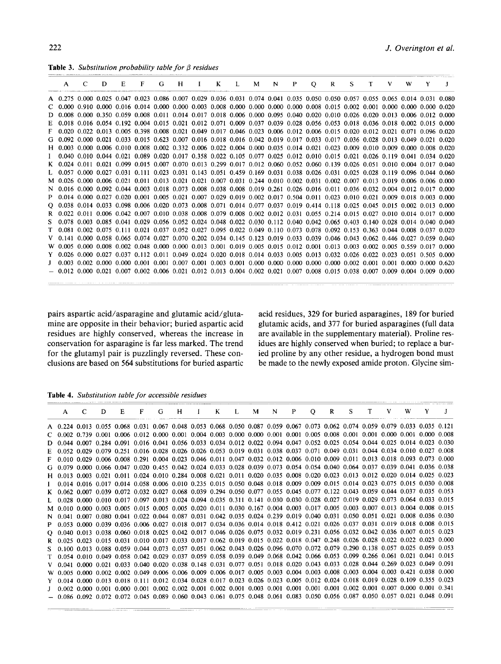**Table 3.** *Substitution probability table for*  $\beta$  *residues* 

|   |   |   | <b>Table 3.</b> Substitution probability table for $\beta$ residues                                                                                                     |              |   |   |   |                |   |   |              |         |              |    |   |   |   |  |
|---|---|---|-------------------------------------------------------------------------------------------------------------------------------------------------------------------------|--------------|---|---|---|----------------|---|---|--------------|---------|--------------|----|---|---|---|--|
| A | C | D | E                                                                                                                                                                       | $\mathbf{F}$ | G | H | K | $\mathbf{I}$ . | M | N | $\mathbf{P}$ | $\circ$ | $\mathbf{R}$ | S. | T | V | W |  |
|   |   |   | A 0.275 0.000 0.025 0.047 0.023 0.086 0.007 0.029 0.036 0.031 0.074 0.041 0.035 0.050 0.050 0.057 0.055 0.065 0.014 0.031 0.080                                         |              |   |   |   |                |   |   |              |         |              |    |   |   |   |  |
|   |   |   | $C$ 0.000 0.910 0.000 0.016 0.014 0.000 0.000 0.003 0.008 0.000 0.000 0.000 0.000 0.008 0.015 0.002 0.001 0.000 0.000 0.000 0.020                                       |              |   |   |   |                |   |   |              |         |              |    |   |   |   |  |
|   |   |   | 0.008 0.000 0.350 0.059 0.008 0.011 0.014 0.017 0.018 0.006 0.000 0.095 0.040 0.020 0.010 0.026 0.020 0.013 0.006 0.012 0.000                                           |              |   |   |   |                |   |   |              |         |              |    |   |   |   |  |
|   |   |   | 0.018 0.016 0.054 0.192 0.004 0.015 0.021 0.012 0.071 0.009 0.037 0.039 0.028 0.056 0.053 0.018 0.036 0.018 0.002 0.015 0.000                                           |              |   |   |   |                |   |   |              |         |              |    |   |   |   |  |
|   |   |   | $0.020$ $0.022$ $0.013$ $0.005$ $0.398$ $0.008$ $0.021$ $0.049$ $0.017$ $0.046$ $0.023$ $0.006$ $0.012$ $0.006$ $0.015$ $0.020$ $0.012$ $0.021$ $0.071$ $0.096$ $0.020$ |              |   |   |   |                |   |   |              |         |              |    |   |   |   |  |
|   |   |   | $0.092$ 0.000 0.021 0.033 0.015 0.623 0.007 0.016 0.018 0.016 0.042 0.019 0.017 0.033 0.017 0.036 0.028 0.013 0.049 0.021 0.020                                         |              |   |   |   |                |   |   |              |         |              |    |   |   |   |  |
|   |   |   | H 0.003 0.000 0.006 0.010 0.008 0.002 0.332 0.006 0.022 0.004 0.000 0.035 0.014 0.021 0.023 0.009 0.010 0.009 0.000 0.008 0.020                                         |              |   |   |   |                |   |   |              |         |              |    |   |   |   |  |
|   |   |   | $0.040$ $0.010$ $0.044$ $0.021$ $0.089$ $0.020$ $0.017$ $0.358$ $0.022$ $0.105$ $0.077$ $0.025$ $0.012$ $0.016$ $0.015$ $0.021$ $0.026$ $0.119$ $0.041$ $0.034$ $0.020$ |              |   |   |   |                |   |   |              |         |              |    |   |   |   |  |
|   |   |   | K 0.024 0.011 0.021 0.099 0.015 0.007 0.070 0.013 0.299 0.017 0.012 0.060 0.052 0.060 0.139 0.026 0.051 0.010 0.004 0.017 0.040                                         |              |   |   |   |                |   |   |              |         |              |    |   |   |   |  |
|   |   |   | L 0.057 0.000 0.027 0.031 0.111 0.023 0.031 0.143 0.051 0.459 0.169 0.031 0.038 0.026 0.031 0.025 0.028 0.119 0.096 0.044 0.060                                         |              |   |   |   |                |   |   |              |         |              |    |   |   |   |  |
|   |   |   | M 0.026 0.000 0.006 0.021 0.011 0.013 0.021 0.021 0.007 0.031 0.244 0.010 0.002 0.031 0.002 0.007 0.013 0.019 0.006 0.006 0.000                                         |              |   |   |   |                |   |   |              |         |              |    |   |   |   |  |
|   |   |   | N 0.016 0.000 0.092 0.044 0.003 0.018 0.073 0.008 0.038 0.008 0.019 0.261 0.026 0.016 0.011 0.036 0.032 0.004 0.012 0.017 0.000                                         |              |   |   |   |                |   |   |              |         |              |    |   |   |   |  |
|   |   |   | $0.014$ 0.000 0.027 0.020 0.001 0.005 0.021 0.007 0.029 0.019 0.002 0.017 0.504 0.011 0.023 0.010 0.021 0.009 0.018 0.003 0.000                                         |              |   |   |   |                |   |   |              |         |              |    |   |   |   |  |
|   |   |   | 0.038 0.014 0.033 0.098 0.006 0.020 0.073 0.008 0.071 0.014 0.077 0.037 0.019 0.414 0.118 0.025 0.045 0.015 0.002 0.013 0.000                                           |              |   |   |   |                |   |   |              |         |              |    |   |   |   |  |
|   |   |   | $0.022$ 0.011 0.006 0.042 0.007 0.010 0.038 0.008 0.079 0.008 0.002 0.012 0.031 0.055 0.214 0.015 0.027 0.010 0.014 0.017 0.000                                         |              |   |   |   |                |   |   |              |         |              |    |   |   |   |  |
|   |   |   | $0.078$ 0.003 0.085 0.041 0.029 0.056 0.052 0.024 0.048 0.022 0.030 0.112 0.040 0.042 0.065 0.403 0.140 0.028 0.014 0.040 0.040                                         |              |   |   |   |                |   |   |              |         |              |    |   |   |   |  |
|   |   |   | 0.081 0.002 0.075 0.111 0.021 0.037 0.052 0.027 0.095 0.022 0.049 0.110 0.073 0.078 0.092 0.153 0.363 0.044 0.008 0.037 0.020                                           |              |   |   |   |                |   |   |              |         |              |    |   |   |   |  |
|   |   |   | V 0.141 0.000 0.058 0.065 0.074 0.027 0.070 0.202 0.034 0.145 0.123 0.019 0.033 0.039 0.046 0.043 0.062 0.446 0.027 0.059 0.040                                         |              |   |   |   |                |   |   |              |         |              |    |   |   |   |  |
|   |   |   | W 0.005 0.000 0.008 0.002 0.048 0.000 0.000 0.013 0.001 0.019 0.005 0.015 0.012 0.001 0.013 0.003 0.002 0.005 0.559 0.017 0.000                                         |              |   |   |   |                |   |   |              |         |              |    |   |   |   |  |
|   |   |   | Y 0.026 0.000 0.027 0.037 0.112 0.011 0.049 0.024 0.020 0.018 0.014 0.033 0.005 0.013 0.032 0.026 0.022 0.023 0.051 0.505 0.000                                         |              |   |   |   |                |   |   |              |         |              |    |   |   |   |  |
|   |   |   | $-0.003$ 0.002 0.000 0.000 0.001 0.001 0.007 0.001 0.003 0.001 0.000 0.000 0.000 0.000 0.000 0.002 0.001 0.001 0.000 0.000 0.620                                        |              |   |   |   |                |   |   |              |         |              |    |   |   |   |  |
|   |   |   | $-$ 0.012 0.000 0.021 0.007 0.002 0.006 0.021 0.012 0.013 0.004 0.002 0.021 0.007 0.008 0.015 0.038 0.007 0.009 0.004 0.009 0.000                                       |              |   |   |   |                |   |   |              |         |              |    |   |   |   |  |

mine are opposite in their behavior; buried aspartic acid glutamic acids, and **377** for buried asparagines (full data residues are highly conserved, whereas the increase in are available in the supplementary material). Proline resconservation for asparagine is far less marked. The trend idues are highly conserved when buried; to replace a burfor the glutamyl pair is puzzlingly reversed. These con- ied proline by any other residue, a hydrogen bond must clusions are based on **564** substitutions for buried aspartic be made to the newly exposed amide proton. Glycine sim-

pairs aspartic acid/asparagine and glutamic acid/gluta- acid residues, **329** for buried asparagines, **189** for buried

**Table 4.** *Substitution table for accessible residues* 

| Table 4. Substitution table for accessible residues                                                                               |    |     |  |  |  |  |  |  |  |                                     |  |  |
|-----------------------------------------------------------------------------------------------------------------------------------|----|-----|--|--|--|--|--|--|--|-------------------------------------|--|--|
| $A \quad$                                                                                                                         | C. | D — |  |  |  |  |  |  |  | E F G H I K L M N P Q R S T V W Y J |  |  |
| A 0.224 0.013 0.055 0.068 0.031 0.067 0.048 0.053 0.068 0.050 0.087 0.059 0.067 0.073 0.062 0.074 0.059 0.079 0.033 0.035 0.121   |    |     |  |  |  |  |  |  |  |                                     |  |  |
| $C$ 0.002 0.739 0.001 0.006 0.012 0.000 0.001 0.004 0.003 0.000 0.000 0.001 0.001 0.005 0.008 0.001 0.001 0.000 0.001 0.000 0.008 |    |     |  |  |  |  |  |  |  |                                     |  |  |
| D 0.044 0.007 0.284 0.091 0.016 0.041 0.056 0.033 0.034 0.012 0.022 0.094 0.047 0.052 0.025 0.054 0.044 0.025 0.014 0.023 0.030   |    |     |  |  |  |  |  |  |  |                                     |  |  |
| E 0.052 0.029 0.079 0.251 0.016 0.028 0.026 0.026 0.053 0.019 0.031 0.038 0.037 0.071 0.049 0.031 0.044 0.034 0.010 0.027 0.008   |    |     |  |  |  |  |  |  |  |                                     |  |  |
| F 0.010 0.029 0.006 0.008 0.291 0.004 0.023 0.046 0.011 0.047 0.032 0.012 0.006 0.010 0.009 0.011 0.013 0.018 0.093 0.073 0.000   |    |     |  |  |  |  |  |  |  |                                     |  |  |
| G 0.079 0.000 0.066 0.047 0.020 0.455 0.042 0.024 0.033 0.028 0.039 0.073 0.054 0.054 0.040 0.064 0.037 0.039 0.041 0.036 0.038   |    |     |  |  |  |  |  |  |  |                                     |  |  |
| H 0.013 0.003 0.021 0.011 0.024 0.010 0.284 0.008 0.021 0.011 0.020 0.035 0.008 0.020 0.023 0.013 0.012 0.020 0.014 0.025 0.023   |    |     |  |  |  |  |  |  |  |                                     |  |  |
| 1 0.014 0.016 0.017 0.014 0.058 0.006 0.010 0.235 0.015 0.050 0.048 0.018 0.009 0.009 0.015 0.014 0.023 0.075 0.015 0.030 0.008   |    |     |  |  |  |  |  |  |  |                                     |  |  |
| K 0.062 0.007 0.039 0.072 0.032 0.027 0.068 0.039 0.294 0.050 0.077 0.055 0.045 0.077 0.122 0.043 0.059 0.044 0.037 0.035 0.053   |    |     |  |  |  |  |  |  |  |                                     |  |  |
| L 0.028 0.000 0.010 0.017 0.097 0.013 0.024 0.094 0.035 0.311 0.141 0.030 0.030 0.028 0.027 0.019 0.029 0.073 0.064 0.033 0.015   |    |     |  |  |  |  |  |  |  |                                     |  |  |
| M 0.010 0.000 0.003 0.005 0.015 0.005 0.005 0.020 0.011 0.030 0.167 0.004 0.003 0.017 0.005 0.003 0.007 0.013 0.004 0.008 0.015   |    |     |  |  |  |  |  |  |  |                                     |  |  |
| N 0.041 0.007 0.080 0.041 0.022 0.044 0.087 0.031 0.042 0.035 0.024 0.239 0.019 0.040 0.031 0.050 0.051 0.021 0.008 0.036 0.030   |    |     |  |  |  |  |  |  |  |                                     |  |  |
| P 0.053 0.000 0.039 0.036 0.006 0.027 0.018 0.017 0.034 0.036 0.014 0.018 0.412 0.021 0.026 0.037 0.031 0.019 0.018 0.008 0.015   |    |     |  |  |  |  |  |  |  |                                     |  |  |
| 0.040 0.013 0.038 0.060 0.018 0.025 0.042 0.017 0.046 0.026 0.075 0.032 0.019 0.231 0.056 0.032 0.042 0.036 0.007 0.015 0.023     |    |     |  |  |  |  |  |  |  |                                     |  |  |
| R 0.025 0.023 0.015 0.031 0.010 0.017 0.033 0.017 0.062 0.019 0.015 0.022 0.018 0.047 0.248 0.026 0.028 0.022 0.022 0.023 0.000   |    |     |  |  |  |  |  |  |  |                                     |  |  |
| S 0.100 0.013 0.088 0.059 0.044 0.073 0.057 0.051 0.062 0.043 0.026 0.096 0.070 0.072 0.079 0.290 0.138 0.057 0.025 0.059 0.053   |    |     |  |  |  |  |  |  |  |                                     |  |  |
| T 0.054 0.010 0.049 0.058 0.042 0.029 0.037 0.059 0.058 0.039 0.049 0.068 0.042 0.066 0.053 0.099 0.266 0.061 0.021 0.041 0.015   |    |     |  |  |  |  |  |  |  |                                     |  |  |
| V 0.041 0.000 0.021 0.033 0.040 0.020 0.038 0.148 0.031 0.077 0.051 0.018 0.020 0.043 0.033 0.028 0.044 0.269 0.023 0.049 0.091   |    |     |  |  |  |  |  |  |  |                                     |  |  |
| W 0.005 0.000 0.002 0.002 0.049 0.006 0.006 0.009 0.006 0.017 0.005 0.003 0.004 0.003 0.008 0.003 0.004 0.003 0.421 0.038 0.000   |    |     |  |  |  |  |  |  |  |                                     |  |  |
| Y 0.014 0.000 0.013 0.018 0.111 0.012 0.034 0.028 0.017 0.023 0.026 0.023 0.005 0.012 0.024 0.018 0.019 0.028 0.109 0.355 0.023   |    |     |  |  |  |  |  |  |  |                                     |  |  |
| J 0.002 0.000 0.001 0.000 0.001 0.002 0.002 0.001 0.002 0.001 0.003 0.001 0.001 0.001 0.001 0.002 0.001 0.007 0.000 0.001 0.341   |    |     |  |  |  |  |  |  |  |                                     |  |  |
| $-0.086$ 0.092 0.072 0.072 0.045 0.089 0.060 0.043 0.061 0.075 0.048 0.061 0.083 0.050 0.056 0.087 0.050 0.057 0.021 0.048 0.091  |    |     |  |  |  |  |  |  |  |                                     |  |  |
|                                                                                                                                   |    |     |  |  |  |  |  |  |  |                                     |  |  |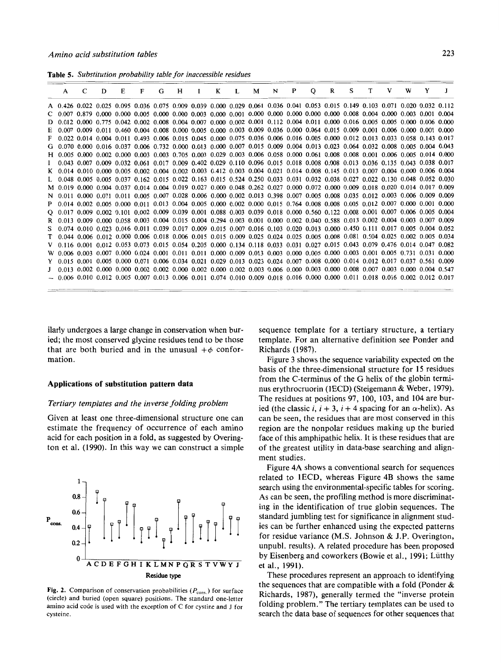**Table 5.** *Substitution probability table for inaccessible residues* 

|  | A C D |  | $E \t F$                                                                                                                          | G H I K L M N P Q R S T V W Y J |  |  |  |  |  |  |  |
|--|-------|--|-----------------------------------------------------------------------------------------------------------------------------------|---------------------------------|--|--|--|--|--|--|--|
|  |       |  | A 0.426 0.022 0.025 0.095 0.036 0.075 0.009 0.039 0.000 0.029 0.061 0.036 0.041 0.053 0.015 0.149 0.103 0.071 0.020 0.032 0.112   |                                 |  |  |  |  |  |  |  |
|  |       |  | $C$ 0.007 0.879 0.000 0.000 0.005 0.000 0.000 0.003 0.000 0.001 0.000 0.000 0.000 0.000 0.000 0.008 0.004 0.000 0.003 0.001 0.004 |                                 |  |  |  |  |  |  |  |
|  |       |  | D 0.012 0.000 0.775 0.042 0.002 0.008 0.004 0.007 0.000 0.002 0.001 0.112 0.004 0.011 0.000 0.016 0.005 0.005 0.000 0.006 0.000   |                                 |  |  |  |  |  |  |  |
|  |       |  | E 0.007 0.009 0.011 0.460 0.004 0.008 0.000 0.005 0.000 0.003 0.009 0.036 0.000 0.064 0.015 0.009 0.001 0.006 0.000 0.001 0.000   |                                 |  |  |  |  |  |  |  |
|  |       |  | F 0.022 0.014 0.004 0.011 0.493 0.006 0.015 0.045 0.000 0.075 0.036 0.006 0.016 0.005 0.000 0.012 0.013 0.033 0.058 0.143 0.017   |                                 |  |  |  |  |  |  |  |
|  |       |  | G 0.070 0.000 0.016 0.037 0.006 0.732 0.000 0.013 0.000 0.007 0.015 0.009 0.004 0.013 0.023 0.064 0.032 0.008 0.005 0.004 0.043   |                                 |  |  |  |  |  |  |  |
|  |       |  | H 0.005 0.000 0.002 0.000 0.003 0.003 0.705 0.003 0.029 0.003 0.006 0.058 0.000 0.061 0.008 0.008 0.001 0.006 0.005 0.014 0.000   |                                 |  |  |  |  |  |  |  |
|  |       |  | 1 0.043 0.007 0.009 0.032 0.061 0.017 0.009 0.402 0.029 0.110 0.096 0.015 0.018 0.008 0.008 0.013 0.036 0.135 0.043 0.038 0.017   |                                 |  |  |  |  |  |  |  |
|  |       |  | K 0.014 0.010 0.000 0.005 0.002 0.004 0.002 0.003 0.412 0.003 0.004 0.021 0.014 0.008 0.145 0.013 0.007 0.004 0.000 0.006 0.004   |                                 |  |  |  |  |  |  |  |
|  |       |  | L 0.048 0.005 0.005 0.037 0.162 0.015 0.022 0.163 0.015 0.524 0.250 0.033 0.031 0.032 0.038 0.027 0.022 0.130 0.048 0.052 0.030   |                                 |  |  |  |  |  |  |  |
|  |       |  | M 0.019 0.000 0.004 0.037 0.014 0.004 0.019 0.027 0.000 0.048 0.262 0.027 0.000 0.072 0.000 0.009 0.018 0.020 0.014 0.017 0.009   |                                 |  |  |  |  |  |  |  |
|  |       |  | N 0.011 0.000 0.071 0.011 0.005 0.007 0.028 0.006 0.000 0.002 0.013 0.398 0.007 0.005 0.008 0.035 0.012 0.003 0.006 0.009 0.009   |                                 |  |  |  |  |  |  |  |
|  |       |  | P 0.014 0.002 0.005 0.000 0.011 0.013 0.004 0.005 0.000 0.002 0.000 0.015 0.764 0.008 0.008 0.005 0.012 0.007 0.000 0.001 0.000   |                                 |  |  |  |  |  |  |  |
|  |       |  | $Q$ 0.017 0.009 0.002 0.101 0.002 0.009 0.039 0.001 0.088 0.003 0.039 0.018 0.000 0.560 0.122 0.008 0.001 0.007 0.006 0.005 0.004 |                                 |  |  |  |  |  |  |  |
|  |       |  | R 0.013 0.009 0.000 0.058 0.003 0.004 0.015 0.004 0.294 0.003 0.001 0.000 0.002 0.040 0.588 0.013 0.002 0.004 0.003 0.007 0.009   |                                 |  |  |  |  |  |  |  |
|  |       |  | \$ 0.074 0.010 0.023 0.016 0.011 0.039 0.017 0.009 0.015 0.007 0.016 0.103 0.020 0.013 0.000 0.450 0.111 0.017 0.005 0.004 0.052  |                                 |  |  |  |  |  |  |  |
|  |       |  | T 0.044 0.006 0.012 0.000 0.006 0.018 0.006 0.015 0.015 0.009 0.025 0.024 0.025 0.005 0.008 0.081 0.504 0.025 0.002 0.005 0.034   |                                 |  |  |  |  |  |  |  |
|  |       |  | V 0.116 0.001 0.012 0.053 0.073 0.015 0.054 0.205 0.000 0.134 0.118 0.033 0.031 0.027 0.015 0.043 0.079 0.476 0.014 0.047 0.082   |                                 |  |  |  |  |  |  |  |
|  |       |  | W 0.006 0.003 0.007 0.000 0.024 0.001 0.011 0.011 0.000 0.009 0.013 0.003 0.000 0.005 0.000 0.003 0.001 0.005 0.731 0.031 0.000   |                                 |  |  |  |  |  |  |  |
|  |       |  | Y 0.015 0.001 0.005 0.000 0.071 0.006 0.034 0.021 0.029 0.013 0.023 0.024 0.007 0.008 0.000 0.014 0.012 0.017 0.037 0.561 0.009   |                                 |  |  |  |  |  |  |  |
|  |       |  | J 0.013 0.002 0.000 0.000 0.002 0.002 0.000 0.002 0.000 0.002 0.003 0.006 0.000 0.003 0.000 0.008 0.007 0.003 0.000 0.004 0.547   |                                 |  |  |  |  |  |  |  |
|  |       |  | $-$ 0.006 0.010 0.012 0.005 0.007 0.013 0.006 0.011 0.074 0.010 0.009 0.018 0.016 0.000 0.000 0.011 0.018 0.016 0.002 0.012 0.017 |                                 |  |  |  |  |  |  |  |

ilarly undergoes a large change in conservation when buried; the most conserved glycine residues tend to be those that are both buried and in the unusual  $+\phi$  conformation.

#### **Applications of substitution pattern data**

### *Tertiary templates and the inverse folding problem*

Given at least one three-dimensional structure one can estimate the frequency of occurrence of each amino acid for each position in a fold, as suggested by Overington et al. (1990). In this way we can construct a simple



Fig. 2. Comparison of conservation probabilities  $(P_{\text{cons.}})$  for surface (circle) and buried (open square) positions. The standard one-letter amino acid code is used with the exception of C for cystine and J for cysteine.

sequence template for a tertiary structure, a tertiary template. For an alternative definition see Ponder and Richards (1987).

Figure 3 shows the sequence variability expected on the basis of the three-dimensional structure for 15 residues from the C-terminus of the *G* helix of the globin terminus erythrocruorin (IECD) (Steigemann & Weber, 1979). The residues at positions 97, 100, 103, and 104 are buried (the classic *i*,  $i + 3$ ,  $i + 4$  spacing for an  $\alpha$ -helix). As can be seen, the residues that are most conserved in this region are the nonpolar residues making up the buried face of this amphipathic helix. It is these residues that are of the greatest utility in data-base searching and alignment studies.

Figure 4A shows a conventional search for sequences related to lECD, whereas Figure **4B** shows the same search using the environmental-specific tables for scoring. As can be seen, the profiling method is more discriminating in the identification of true globin sequences. The standard jumbling test for significance in alignment studies can be further enhanced using the expected patterns for residue variance (M.S. Johnson & J.P. Overington, unpubl. results). A related procedure has been proposed by Eisenberg and coworkers (Bowie et al., 1991; Liitthy et al., 1991).

These procedures represent an approach to identifying the sequences that are compatible with a fold (Ponder & Richards, 1987), generally termed the "inverse protein folding problem." The tertiary templates can be used to search the data base of sequences for other sequences that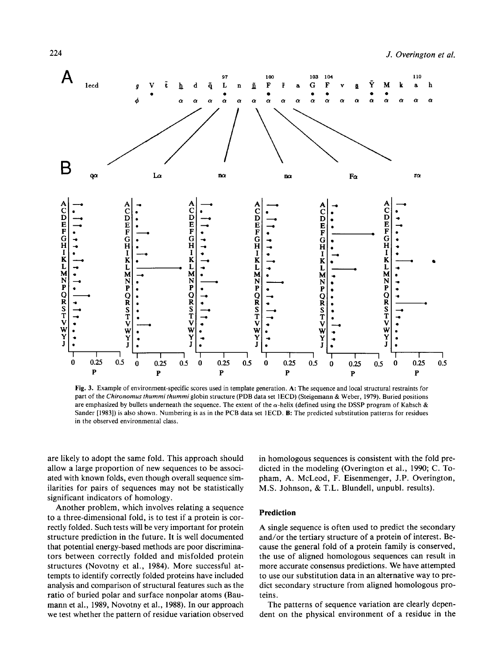

Fig. 3. Example of environment-specific scores used in template generation. A: The sequence and local structural restraints for part of the Chironomus thummi thummi globin structure (PDB data set 1ECD) (Steigemann & Weber, 1979). Buried positions are emphasized by bullets underneath the sequence. The extent of the  $\alpha$ -helix (defined using the DSSP program of Kabsch & Sander [1983]) is also shown. Numbering is as in the PCB data set 1ECD. B: The predicted substitution patterns for residues in the observed environmental class.

are likely to adopt the same fold. This approach should allow a large proportion of new sequences to be associated with known folds, even though overall sequence similarities for pairs of sequences may not be statistically significant indicators of homology.

Another problem, which involves relating a sequence to a three-dimensional fold, is to test if a protein is correctly folded. Such tests will be very important for protein structure prediction in the future. It is well documented that potential energy-based methods are poor discriminators between correctly folded and misfolded protein structures (Novotny et al., 1984). More successful attempts to identify correctly folded proteins have included analysis and comparison of structural features such as the ratio of buried polar and surface nonpolar atoms (Baumann et al., 1989, Novotny et al., 1988). In our approach we test whether the pattern of residue variation observed

in homologous sequences is consistent with the fold predicted in the modeling (Overington et al., 1990; C. Topham, A. McLeod, F. Eisenmenger, J.P. Overington, M.S. Johnson, & T.L. Blundell, unpubl. results).

# **Prediction**

A single sequence is often used to predict the secondary and/or the tertiary structure of a protein of interest. Because the general fold of a protein family is conserved, the use of aligned homologous sequences can result in more accurate consensus predictions. We have attempted to use our substitution data in an alternative way to predict secondary structure from aligned homologous proteins.

The patterns of sequence variation are clearly dependent on the physical environment of a residue in the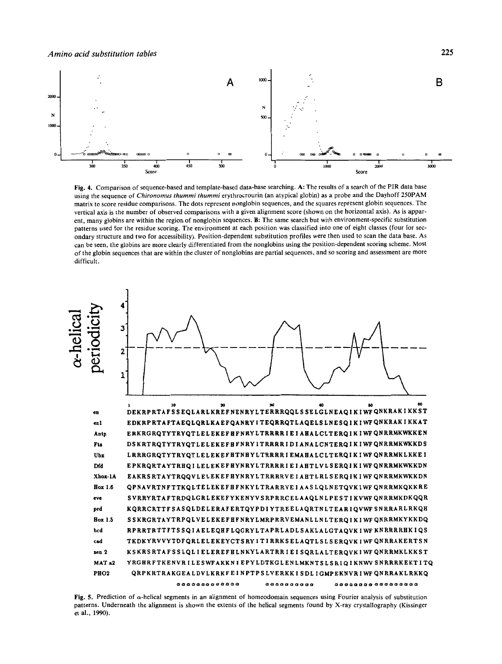

Fig. 4. Comparison of sequence-based and template-based data-base searching. A: The results of a search of the PIR data base using the sequence of Chironomus thummi thummi erythrocrourin (an atypical globin) as a probe and the Dayhoff 250PAM matrix to score residue comparisons. The dots represent nonglobin sequences, and the squares represent globin sequences. The vertical axis is the number of observed comparisons with a given alignment score (shown on the horizontal axis). As is apparent, many globins are within the region of nonglobin sequences. B: The same search but with environment-specific substitution patterns used for the residue scoring. The environment at each position was classified into one of eight classes (four for secondary structure and two for accessibility). Position-dependent substitution profiles were then used to scan the data base. As can be seen, the globins are more clearly differentiated from the nonglobins using the position-dependent scoring scheme. Most of the globin sequences that are within the cluster of nonglobins are partial sequences, and so scoring and assessment are more difficult.



Fig. 5. Prediction of  $\alpha$ -helical segments in an alignment of homeodomain sequences using Fourier analysis of substitution patterns. Underneath the alignment is shown the extents of the helical segments found by X-ray crystallography (Kissinger et al., 1990).